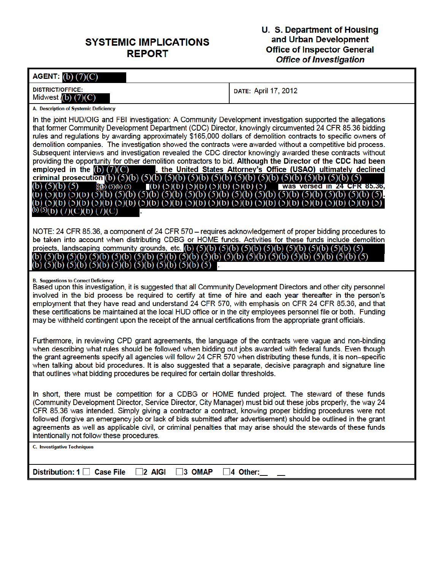## **SYSTEMIC IMPLICATIONS REPORT**

# **U. S. Department of Housing<br>and Urban Development<br>Office of Inspector General<br>Office of Investigation**

| AGENT: (b) (7)(C)                                                             |                                                                                                |                                                                                                                                                                                                                                                                                                                                                                                                                                                                                                                                                                                                                                                                                                                                                               |
|-------------------------------------------------------------------------------|------------------------------------------------------------------------------------------------|---------------------------------------------------------------------------------------------------------------------------------------------------------------------------------------------------------------------------------------------------------------------------------------------------------------------------------------------------------------------------------------------------------------------------------------------------------------------------------------------------------------------------------------------------------------------------------------------------------------------------------------------------------------------------------------------------------------------------------------------------------------|
| <b>DISTRICT/OFFICE:</b><br>Midwest $(b)$ $(7)(C)$                             |                                                                                                | DATE: April 17, 2012                                                                                                                                                                                                                                                                                                                                                                                                                                                                                                                                                                                                                                                                                                                                          |
| A. Description of Systemic Deficiency                                         |                                                                                                |                                                                                                                                                                                                                                                                                                                                                                                                                                                                                                                                                                                                                                                                                                                                                               |
| employed in the $(b)$ $(7)(C)$<br><sup>(b) (5)</sup> (b) ( / )(C)(b) ( / )(C) |                                                                                                | In the joint HUD/OIG and FBI investigation: A Community Development investigation supported the allegations<br>that former Community Development Department (CDC) Director, knowingly circumvented 24 CFR 85.36 bidding<br>rules and regulations by awarding approximately \$165,000 dollars of demolition contracts to specific owners of<br>demolition companies. The investigation showed the contracts were awarded without a competitive bid process.<br>Subsequent interviews and investigation revealed the CDC director knowingly awarded these contracts without<br>providing the opportunity for other demolition contractors to bid. Although the Director of the CDC had been<br>, the United States Attorney's Office (USAO) ultimately declined |
| $(b)$ (5)(b) (5)(b) (5)(b) (5)(b) (5)(b) (5)(b) (5)(b) (5)(b) (5)             | (b) (5)(b) (5)(b) (5)(b) (5)(b) (5)(b) (5)(b) (5)(b) (5)(b) (5)(b) (5)(b) (5)(b) (5)(b) (5)(b) | NOTE: 24 CFR 85.36, a component of 24 CFR 570 - requires acknowledgement of proper bidding procedures to<br>be taken into account when distributing CDBG or HOME funds. Activities for these funds include demolition<br>(5)(b)<br>(5)(b)<br>$(5)(b)$ $(5)$                                                                                                                                                                                                                                                                                                                                                                                                                                                                                                   |
| <b>B. Suggestions to Correct Deficiency</b>                                   |                                                                                                | Based upon this investigation, it is suggested that all Community Development Directors and other city personnel<br>involved in the bid process be required to certify at time of hire and each year thereafter in the person's<br>employment that they have read and understand 24 CFR 570, with emphasis on CFR 24 CFR 85.36, and that<br>these certifications be maintained at the local HUD office or in the city employees personnel file or both. Funding<br>may be withheld contingent upon the receipt of the annual certifications from the appropriate grant officials.                                                                                                                                                                             |
|                                                                               | that outlines what bidding procedures be required for certain dollar thresholds.               | Furthermore, in reviewing CPD grant agreements, the language of the contracts were vague and non-binding<br>when describing what rules should be followed when bidding out jobs awarded with federal funds. Even though<br>the grant agreements specify all agencies will follow 24 CFR 570 when distributing these funds, it is non-specific<br>when talking about bid procedures. It is also suggested that a separate, decisive paragraph and signature line                                                                                                                                                                                                                                                                                               |
| intentionally not follow these procedures.                                    |                                                                                                | In short, there must be competition for a CDBG or HOME funded project. The steward of these funds<br>(Community Development Director, Service Director, City Manager) must bid out these jobs properly, the way 24<br>CFR 85.36 was intended. Simply giving a contractor a contract, knowing proper bidding procedures were not<br>followed (forgive an emergency job or lack of bids submitted after advertisement) should be outlined in the grant<br>agreements as well as applicable civil, or criminal penalties that may arise should the stewards of these funds                                                                                                                                                                                       |
| <b>C. Investigative Techniques</b>                                            |                                                                                                |                                                                                                                                                                                                                                                                                                                                                                                                                                                                                                                                                                                                                                                                                                                                                               |
| Distribution: $1 \cap$ Case File                                              | $2$ AIGI<br>$\overline{3}$ OMAP                                                                | $\sqrt{4}$ Other:                                                                                                                                                                                                                                                                                                                                                                                                                                                                                                                                                                                                                                                                                                                                             |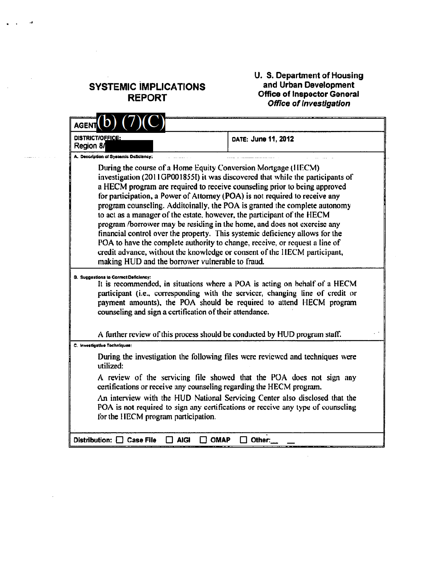## **SYSTEMIC IMPLICATIONS REPORT**

<u> The Company of the Company of the Company of the Company of the Company of the Company of the Company of the Company of the Company of the Company of the Company of the Company of the Company of the Company of the Compan</u>

 $\cdot$ 

## **U. S. Department of Housing<br>and Urban Development<br>Office of Inspector General<br>Office of Investigation**

| <b>AGENT</b>                                                                                                                                                                                                                                                                                                                                                                                                                                                                                                                                                                                                                                                                                                                                                                                                                                     |                                                                                                                                                                                                                                     |
|--------------------------------------------------------------------------------------------------------------------------------------------------------------------------------------------------------------------------------------------------------------------------------------------------------------------------------------------------------------------------------------------------------------------------------------------------------------------------------------------------------------------------------------------------------------------------------------------------------------------------------------------------------------------------------------------------------------------------------------------------------------------------------------------------------------------------------------------------|-------------------------------------------------------------------------------------------------------------------------------------------------------------------------------------------------------------------------------------|
| DISTRICT/OFFICE:<br>Region 8/                                                                                                                                                                                                                                                                                                                                                                                                                                                                                                                                                                                                                                                                                                                                                                                                                    | DATE: June 11, 2012                                                                                                                                                                                                                 |
| A. Description of Systemic Deficiency:                                                                                                                                                                                                                                                                                                                                                                                                                                                                                                                                                                                                                                                                                                                                                                                                           |                                                                                                                                                                                                                                     |
| During the course of a Home Equity Conversion Mortgage (HECM)<br>investigation (2011GP001855I) it was discovered that while the participants of<br>a HECM program are required to receive counseling prior to being approved<br>for participation, a Power of Attorney (POA) is not required to receive any<br>program counseling. Additoinally, the POA is granted the complete autonomy<br>to act as a manager of the estate, however, the participant of the HECM<br>program /borrower may be residing in the home, and does not exercise any<br>financial control over the property. This systemic deficiency allows for the<br>POA to have the complete authority to change, receive, or request a line of<br>credit advance, without the knowledge or consent of the HECM participant,<br>making HUD and the borrower vulnerable to fraud. |                                                                                                                                                                                                                                     |
| <b>B. Suggestions to Correct Deficiency:</b><br>counseling and sign a certification of their attendance.                                                                                                                                                                                                                                                                                                                                                                                                                                                                                                                                                                                                                                                                                                                                         | It is recommended, in situations where a POA is acting on behalf of a HECM<br>participant (i.e., corresponding with the servicer, changing line of credit or<br>payment amounts), the POA should be required to attend HECM program |
| A further review of this process should be conducted by HUD program staff.                                                                                                                                                                                                                                                                                                                                                                                                                                                                                                                                                                                                                                                                                                                                                                       |                                                                                                                                                                                                                                     |
| C. Investigative Tochniques:                                                                                                                                                                                                                                                                                                                                                                                                                                                                                                                                                                                                                                                                                                                                                                                                                     |                                                                                                                                                                                                                                     |
| utilized:                                                                                                                                                                                                                                                                                                                                                                                                                                                                                                                                                                                                                                                                                                                                                                                                                                        | During the investigation the following files were reviewed and techniques were                                                                                                                                                      |
| certifications or receive any counseling regarding the HECM program.                                                                                                                                                                                                                                                                                                                                                                                                                                                                                                                                                                                                                                                                                                                                                                             | A review of the servicing file showed that the POA does not sign any                                                                                                                                                                |
| An interview with the HUD National Servicing Center also disclosed that the<br>POA is not required to sign any certifications or receive any type of counseling<br>for the HECM program participation.                                                                                                                                                                                                                                                                                                                                                                                                                                                                                                                                                                                                                                           |                                                                                                                                                                                                                                     |
| Distribution: Case File<br>AIGI<br>ОМАР                                                                                                                                                                                                                                                                                                                                                                                                                                                                                                                                                                                                                                                                                                                                                                                                          | Other:                                                                                                                                                                                                                              |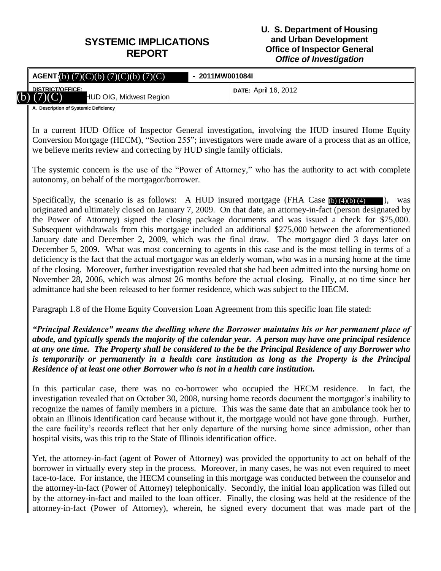## **SYSTEMIC IMPLICATIONS REPORT**

#### **U. S. Department of Housing and Urban Development Office of Inspector General** *Office of Investigation*

|                                        | <b>AGENT:</b> (b) $(7)(C)(b)$ $(7)(C)(b)$ $(7)(C)$ | - 2011MW001084I |                             |
|----------------------------------------|----------------------------------------------------|-----------------|-----------------------------|
| <b>DISTRICT/OFFICE:</b><br>b) $(7)(C)$ | HUD OIG, Midwest Region                            |                 | <b>DATE:</b> April 16, 2012 |
| A. Description of Systemic Deficiency  |                                                    |                 |                             |

In a current HUD Office of Inspector General investigation, involving the HUD insured Home Equity Conversion Mortgage (HECM), "Section 255"; investigators were made aware of a process that as an office, we believe merits review and correcting by HUD single family officials. (b) (7)(C) HUD OIG, Midwest Region<br>
A Description of Systemic Deficiency<br>
In a current HUD Office of Inspector General investigation, involving the HUD insured I<br>
Conversion Mortgage (HECM), "Section 255"; investigators w

The systemic concern is the use of the "Power of Attorney," who has the authority to act with complete autonomy, on behalf of the mortgagor/borrower.

Specifically, the scenario is as follows: A HUD insured mortgage (FHA Case  $(b)$  (4)(b) (4)  $\blacksquare$ ), was originated and ultimately closed on January 7, 2009. On that date, an attorney-in-fact (person designated by the Power of Attorney) signed the closing package documents and was issued a check for \$75,000. Subsequent withdrawals from this mortgage included an additional \$275,000 between the aforementioned January date and December 2, 2009, which was the final draw. The mortgagor died 3 days later on December 5, 2009. What was most concerning to agents in this case and is the most telling in terms of a deficiency is the fact that the actual mortgagor was an elderly woman, who was in a nursing home at the time of the closing. Moreover, further investigation revealed that she had been admitted into the nursing home on November 28, 2006, which was almost 26 months before the actual closing. Finally, at no time since her admittance had she been released to her former residence, which was subject to the HECM.

Paragraph 1.8 of the Home Equity Conversion Loan Agreement from this specific loan file stated:

*"Principal Residence" means the dwelling where the Borrower maintains his or her permanent place of abode, and typically spends the majority of the calendar year. A person may have one principal residence at any one time. The Property shall be considered to the be the Principal Residence of any Borrower who is temporarily or permanently in a health care institution as long as the Property is the Principal Residence of at least one other Borrower who is not in a health care institution.*

In this particular case, there was no co-borrower who occupied the HECM residence. In fact, the investigation revealed that on October 30, 2008, nursing home records document the mortgagor's inability to recognize the names of family members in a picture. This was the same date that an ambulance took her to obtain an Illinois Identification card because without it, the mortgage would not have gone through. Further, the care facility's records reflect that her only departure of the nursing home since admission, other than hospital visits, was this trip to the State of Illinois identification office.

Yet, the attorney-in-fact (agent of Power of Attorney) was provided the opportunity to act on behalf of the borrower in virtually every step in the process. Moreover, in many cases, he was not even required to meet face-to-face. For instance, the HECM counseling in this mortgage was conducted between the counselor and the attorney-in-fact (Power of Attorney) telephonically. Secondly, the initial loan application was filled out by the attorney-in-fact and mailed to the loan officer. Finally, the closing was held at the residence of the attorney-in-fact (Power of Attorney), wherein, he signed every document that was made part of the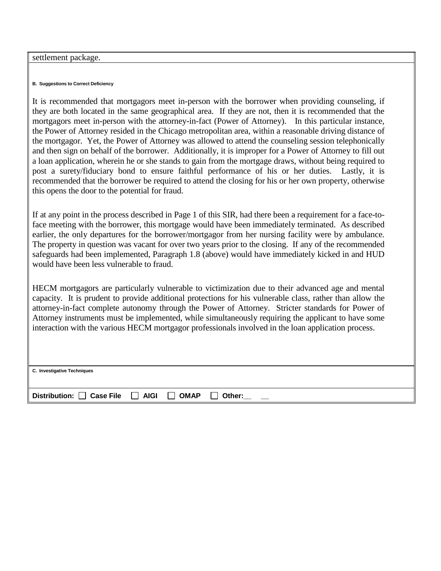#### settlement package.

#### **B. Suggestions to Correct Deficiency**

It is recommended that mortgagors meet in-person with the borrower when providing counseling, if they are both located in the same geographical area. If they are not, then it is recommended that the mortgagors meet in-person with the attorney-in-fact (Power of Attorney). In this particular instance, the Power of Attorney resided in the Chicago metropolitan area, within a reasonable driving distance of the mortgagor. Yet, the Power of Attorney was allowed to attend the counseling session telephonically and then sign on behalf of the borrower. Additionally, it is improper for a Power of Attorney to fill out a loan application, wherein he or she stands to gain from the mortgage draws, without being required to post a surety/fiduciary bond to ensure faithful performance of his or her duties. Lastly, it is recommended that the borrower be required to attend the closing for his or her own property, otherwise this opens the door to the potential for fraud.

If at any point in the process described in Page 1 of this SIR, had there been a requirement for a face-toface meeting with the borrower, this mortgage would have been immediately terminated. As described earlier, the only departures for the borrower/mortgagor from her nursing facility were by ambulance. The property in question was vacant for over two years prior to the closing. If any of the recommended safeguards had been implemented, Paragraph 1.8 (above) would have immediately kicked in and HUD would have been less vulnerable to fraud.

HECM mortgagors are particularly vulnerable to victimization due to their advanced age and mental capacity. It is prudent to provide additional protections for his vulnerable class, rather than allow the attorney-in-fact complete autonomy through the Power of Attorney. Stricter standards for Power of Attorney instruments must be implemented, while simultaneously requiring the applicant to have some interaction with the various HECM mortgagor professionals involved in the loan application process.

| C. Investigative Techniques    |                                         |        |
|--------------------------------|-----------------------------------------|--------|
| Distribution: Case File C AIGI | <b>OMAP</b><br>$\overline{\phantom{a}}$ | Other: |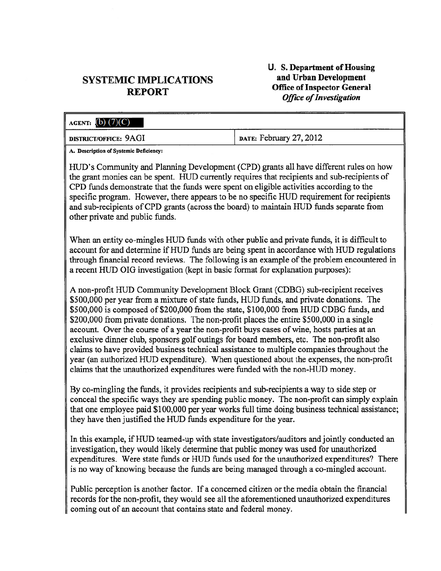### **SYSTEMIC IMPLICATIONS REPORT**

#### U. S. Department of Housing and Urban Development **Office of Inspector General Office of Investigation**

| AGENT: $(b)$ $(7)(C)$                                                                                                                                                                                                                                                           |                         |
|---------------------------------------------------------------------------------------------------------------------------------------------------------------------------------------------------------------------------------------------------------------------------------|-------------------------|
| <b>DISTRICT/OFFICE: 9AGI</b>                                                                                                                                                                                                                                                    | DATE: February 27, 2012 |
| A. Description of Systemic Deficiency:                                                                                                                                                                                                                                          |                         |
| HUD's Community and Planning Development (CPD) grants all have different rules on how<br>the grant monies can be spent. HUD currently requires that recipients and sub-recipients of<br>CPD funds demonstrate that the funds were spent on eligible activities according to the |                         |

specific program. However, there appears to be no specific HUD requirement for recipients and sub-recipients of CPD grants (across the board) to maintain HUD funds separate from other private and public funds.

When an entity co-mingles HUD funds with other public and private funds, it is difficult to account for and determine if HUD funds are being spent in accordance with HUD regulations through financial record reviews. The following is an example of the problem encountered in a recent HUD OIG investigation (kept in basic format for explanation purposes):

A non-profit HUD Community Development Block Grant (CDBG) sub-recipient receives \$500,000 per year from a mixture of state funds, HUD funds, and private donations. The \$500,000 is composed of \$200,000 from the state, \$100,000 from HUD CDBG funds, and \$200,000 from private donations. The non-profit places the entire \$500,000 in a single account. Over the course of a year the non-profit buys cases of wine, hosts parties at an exclusive dinner club, sponsors golf outings for board members, etc. The non-profit also claims to have provided business technical assistance to multiple companies throughout the year (an authorized HUD expenditure). When questioned about the expenses, the non-profit claims that the unauthorized expenditures were funded with the non-HUD money.

By co-mingling the funds, it provides recipients and sub-recipients a way to side step or conceal the specific ways they are spending public money. The non-profit can simply explain that one employee paid \$100,000 per year works full time doing business technical assistance; they have then justified the HUD funds expenditure for the year.

In this example, if HUD teamed-up with state investigators/auditors and jointly conducted an investigation, they would likely determine that public money was used for unauthorized expenditures. Were state funds or HUD funds used for the unauthorized expenditures? There is no way of knowing because the funds are being managed through a co-mingled account.

Public perception is another factor. If a concerned citizen or the media obtain the financial records for the non-profit, they would see all the aforementioned unauthorized expenditures coming out of an account that contains state and federal money.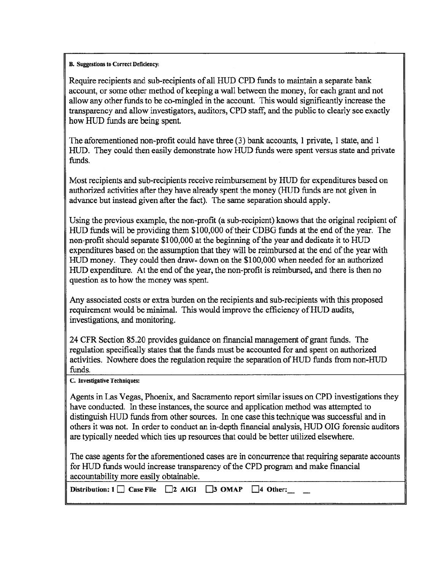#### **B.** Suggestions to Correct Deficiency:

Require recipients and sub-recipients of all HUD CPD funds to maintain a separate bank account, or some other method of keeping a wall between the money, for each grant and not allow any other funds to be co-mingled in the account. This would significantly increase the transparency and allow investigators, auditors, CPD staff, and the public to clearly see exactly how HUD funds are being spent.

The aforementioned non-profit could have three (3) bank accounts, 1 private, 1 state, and 1 HUD. They could then easily demonstrate how HUD funds were spent versus state and private funds.

Most recipients and sub-recipients receive reimbursement by HUD for expenditures based on authorized activities after they have already spent the money (HUD funds are not given in advance but instead given after the fact). The same separation should apply.

Using the previous example, the non-profit (a sub-recipient) knows that the original recipient of HUD funds will be providing them \$100,000 of their CDBG funds at the end of the year. The non-profit should separate \$100,000 at the beginning of the year and dedicate it to HUD expenditures based on the assumption that they will be reimbursed at the end of the year with HUD money. They could then draw- down on the \$100,000 when needed for an authorized HUD expenditure. At the end of the year, the non-profit is reimbursed, and there is then no question as to how the money was spent.

Any associated costs or extra burden on the recipients and sub-recipients with this proposed requirement would be minimal. This would improve the efficiency of HUD audits, investigations, and monitoring.

24 CFR Section 85.20 provides guidance on financial management of grant funds. The regulation specifically states that the funds must be accounted for and spent on authorized activities. Nowhere does the regulation require the separation of HUD funds from non-HUD funds.

C. Investigative Techniques:

Agents in Las Vegas, Phoenix, and Sacramento report similar issues on CPD investigations they have conducted. In these instances, the source and application method was attempted to distinguish HUD funds from other sources. In one case this technique was successful and in others it was not. In order to conduct an in-depth financial analysis, HUD OIG forensic auditors are typically needed which ties up resources that could be better utilized elsewhere.

The case agents for the aforementioned cases are in concurrence that requiring separate accounts for HUD funds would increase transparency of the CPD program and make financial accountability more easily obtainable.

| Distribution: $1 \square$ Case File $\square$ 2 AIGI $\square$ 3 OMAP $\square$ 4 Other: |  |  |  |  |  |
|------------------------------------------------------------------------------------------|--|--|--|--|--|
|------------------------------------------------------------------------------------------|--|--|--|--|--|